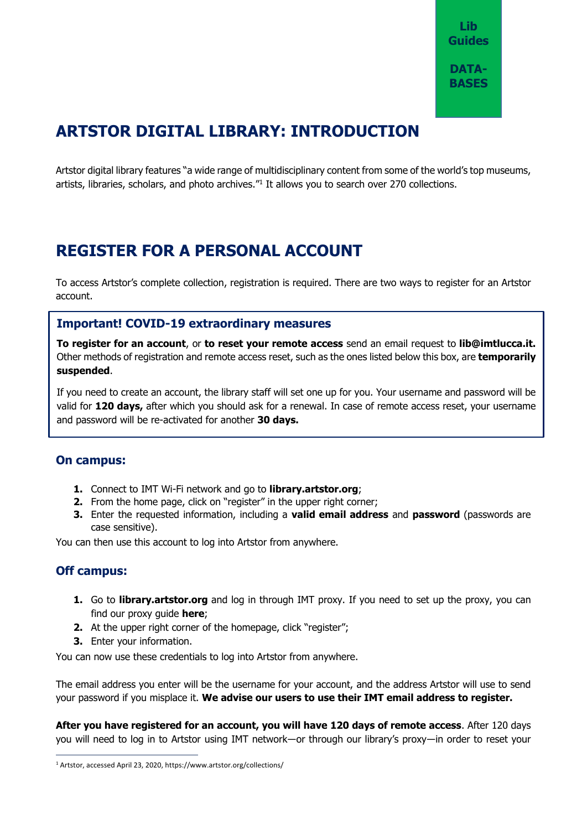# **ARTSTOR DIGITAL LIBRARY: INTRODUCTION**

Artstor digital library features "a wide range of multidisciplinary content from some of the world's top museums, artists, libraries, scholars, and photo archives."<sup>1</sup> It allows you to search over 270 collections.

## **REGISTER FOR A PERSONAL ACCOUNT**

To access Artstor's complete collection, registration is required. There are two ways to register for an Artstor account.

### **Important! COVID-19 extraordinary measures**

**To register for an account**, or **to reset your remote access** send an email request to **[lib@imtlucca.it.](mailto:lib@imtlucca.it)**  Other methods of registration and remote access reset, such as the ones listed below this box, are **temporarily suspended**.

If you need to create an account, the library staff will set one up for you. Your username and password will be valid for **120 days,** after which you should ask for a renewal. In case of remote access reset, your username and password will be re-activated for another **30 days.**

### **On campus:**

- **1.** Connect to IMT Wi-Fi network and go to **<library.artstor.org>**;
- **2.** From the home page, click on "register" in the upper right corner;
- **3.** Enter the requested information, including a **valid email address** and **password** (passwords are case sensitive).

You can then use this account to log into Artstor from anywhere.

### **Off campus:**

 $\overline{a}$ 

- **1.** Go to **[library.artstor.org](file:///C:/Users/martina.mallocci/Desktop/progetto%20guide%20banche%20dati/library.artstor.org)** and log in through IMT proxy. If you need to set up the proxy, you can find our proxy guide **here**;
- **2.** At the upper right corner of the homepage, click "register";
- **3.** Enter your information.

You can now use these credentials to log into Artstor from anywhere.

The email address you enter will be the username for your account, and the address Artstor will use to send your password if you misplace it. **We advise our users to use their IMT email address to register.**

**After you have registered for an account, you will have 120 days of remote access**. After 120 days you will need to log in to Artstor using IMT network―or through our library's proxy―in order to reset your

<sup>1</sup> Artstor, accessed April 23, 2020[, https://www.artstor.org/collections/](https://www.artstor.org/collections/)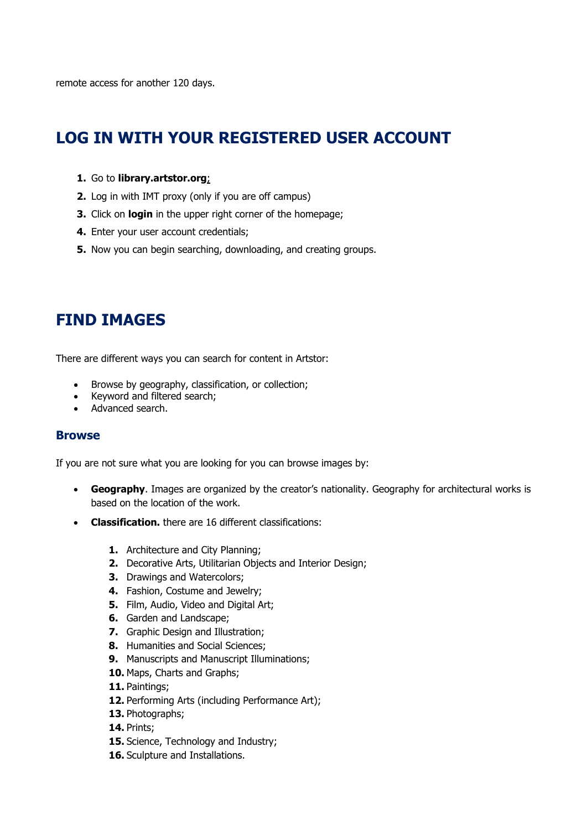remote access for another 120 days.

## **LOG IN WITH YOUR REGISTERED USER ACCOUNT**

#### **1.** Go to **[library.artstor.org](http://www.library.artstor.org/)**;

- **2.** Log in with IMT proxy (only if you are off campus)
- **3.** Click on **login** in the upper right corner of the homepage;
- **4.** Enter your user account credentials;
- **5.** Now you can begin [searching,](https://support.artstor.org/?article=searching-overview) downloading, and [creating groups.](https://support.artstor.org/?article=image-groups-and-folders-overview)

## **FIND IMAGES**

There are different ways you can search for content in Artstor:

- Browse by geography, classification, or collection;
- Keyword and filtered search;
- Advanced search.

#### **Browse**

If you are not sure what you are looking for you can browse images by:

- **[Geography](http://library.artstor.org/#/browse/library;viewId=260)**. Images are organized by the creator's nationality. Geography for architectural works is based on the location of the work.
- **[Classification.](http://library.artstor.org/#/browse/library;viewId=250)** there are 16 different classifications:
	- **1.** Architecture and City Planning;
	- **2.** Decorative Arts, Utilitarian Objects and Interior Design;
	- **3.** Drawings and Watercolors;
	- **4.** Fashion, Costume and Jewelry;
	- **5.** Film, Audio, Video and Digital Art;
	- **6.** Garden and Landscape;
	- **7.** Graphic Design and Illustration;
	- **8.** Humanities and Social Sciences;
	- **9.** Manuscripts and Manuscript Illuminations;
	- **10.** Maps, Charts and Graphs;
	- **11.** Paintings;
	- 12. Performing Arts (including Performance Art);
	- **13.** Photographs;
	- **14.** Prints;
	- **15.** Science, Technology and Industry;
	- **16.** Sculpture and Installations.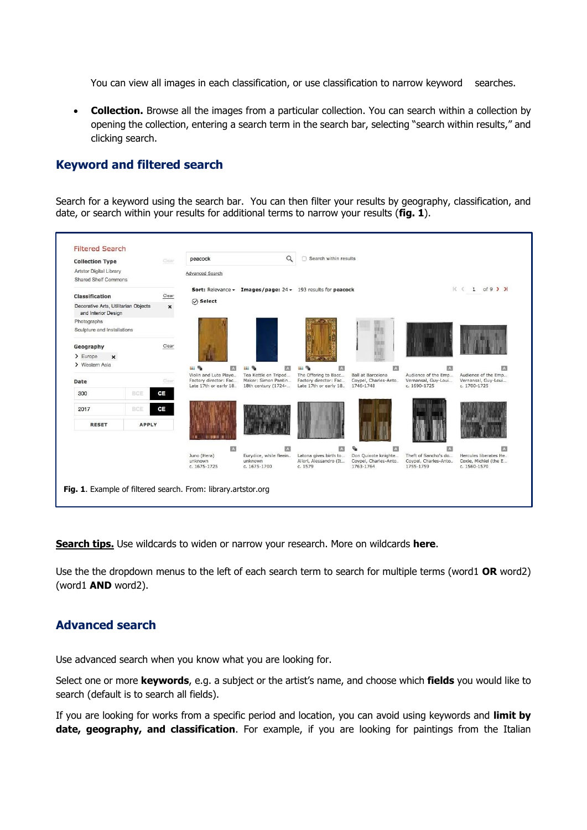You can view all images in each classification, or use classification to narrow keyword searches.

 **[Collection.](http://library.artstor.org/#/browse/library;viewId=103)** Browse all the images from a particular collection. You can search within a collection by opening the collection, entering a search term in the search bar, selecting "search within results," and clicking search.

### **Keyword and filtered search**

Search for a keyword using the search bar. You can then filter your results by geography, classification, and date, or search within your results for additional terms to narrow your results (**fig. 1**).

| <b>Filtered Search</b>                                                                   |              |                  |                                                                          |                                                                                |                                                                    |                                                                        |                                                               |                                                            |                                                                |  |
|------------------------------------------------------------------------------------------|--------------|------------------|--------------------------------------------------------------------------|--------------------------------------------------------------------------------|--------------------------------------------------------------------|------------------------------------------------------------------------|---------------------------------------------------------------|------------------------------------------------------------|----------------------------------------------------------------|--|
| <b>Collection Type</b>                                                                   |              | Clear            | peacock                                                                  |                                                                                | $\alpha$                                                           | Search within results                                                  |                                                               |                                                            |                                                                |  |
| Artstor Digital Library<br><b>Shared Shelf Commons</b>                                   |              |                  | <b>Advanced Search</b>                                                   |                                                                                |                                                                    |                                                                        |                                                               |                                                            |                                                                |  |
| Clear<br><b>Classification</b>                                                           |              |                  |                                                                          | <b>Sort:</b> Relevance $\star$ Images/page: 24 $\star$ 193 results for peacock |                                                                    |                                                                        |                                                               | $K \leftarrow 1$ of 9 $Y$                                  |                                                                |  |
| Decorative Arts, Utilitarian Objects<br>$\boldsymbol{\mathsf{x}}$<br>and Interior Design |              | $\oslash$ Select |                                                                          |                                                                                |                                                                    |                                                                        |                                                               |                                                            |                                                                |  |
| Photographs<br>Sculpture and Installations                                               |              |                  |                                                                          |                                                                                |                                                                    |                                                                        |                                                               |                                                            |                                                                |  |
| Clear<br>Geography                                                                       |              |                  |                                                                          |                                                                                |                                                                    |                                                                        |                                                               |                                                            |                                                                |  |
| $\sum$ Europe<br>$\mathbf{x}$                                                            |              |                  |                                                                          |                                                                                |                                                                    |                                                                        |                                                               |                                                            |                                                                |  |
| > Western Asia                                                                           |              |                  | iai Ta                                                                   | A                                                                              | 益后<br>A                                                            | 曲质<br>$\Lambda$                                                        | <b>A</b>                                                      | A                                                          | $\overline{A}$                                                 |  |
| Clear<br>Date                                                                            |              |                  | Violin and Lute Playe<br>Factory director: Fac<br>Late 17th or early 18. |                                                                                | Tea Kettle on Tripod<br>Maker: Simon Pantin<br>18th century (1724- | The Offering to Bacc<br>Factory director: Fac<br>Late 17th or early 18 | <b>Ball at Barcelona</b><br>Coypel, Charles-Anto<br>1746-1748 | Audience of the Emp<br>Vernansal, Guy-Loui<br>c. 1690-1725 | Audience of the Emp<br>Vernansal, Guy-Loui<br>c. 1700-1725     |  |
| 300                                                                                      | BCE          | CE               |                                                                          |                                                                                |                                                                    |                                                                        |                                                               |                                                            |                                                                |  |
| 2017                                                                                     | BCE          | CE               |                                                                          |                                                                                |                                                                    |                                                                        |                                                               |                                                            |                                                                |  |
| <b>RESET</b>                                                                             | <b>APPLY</b> |                  |                                                                          |                                                                                |                                                                    |                                                                        |                                                               |                                                            |                                                                |  |
|                                                                                          |              |                  |                                                                          | A                                                                              | $\mathbf{A}$                                                       | IЛ                                                                     | 囚<br>г.                                                       | A                                                          | $\mathbf{A}$                                                   |  |
|                                                                                          |              |                  | Juno (Hera)<br>unknown<br>c. 1675-1725                                   |                                                                                | Eurydice, while fleein<br>unknown<br>c. 1675-1700                  | Latona gives birth to<br>Allori, Alessandro (It<br>c. 1579             | Don Quixote knighte<br>Coypel, Charles-Anto<br>1763-1764      | Theft of Sancho's do<br>Coypel, Charles-Anto<br>1755-1759  | Hercules liberates He<br>Coxie, Michiel (the E<br>c. 1560-1570 |  |
| Fig. 1. Example of filtered search. From: library.artstor.org                            |              |                  |                                                                          |                                                                                |                                                                    |                                                                        |                                                               |                                                            |                                                                |  |

**Search tips.** Use wildcards to widen or narrow your research. More on wildcards **[here](https://support.artstor.org/hc/en-us/articles/360020989094?article=using-wildcards)**.

Use the the dropdown menus to the left of each search term to search for multiple terms (word1 **OR** word2) (word1 **AND** word2).

### **Advanced search**

Use advanced search when you know what you are looking for.

Select one or more **keywords**, e.g. a subject or the artist's name, and choose which **fields** you would like to search (default is to search all fields).

If you are looking for works from a specific period and location, you can avoid using keywords and **limit by date, geography, and classification**. For example, if you are looking for paintings from the Italian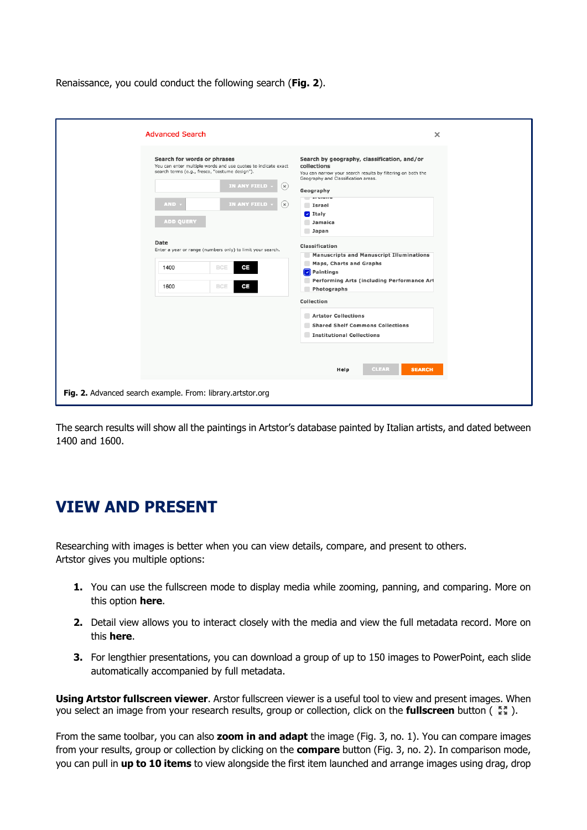Renaissance, you could conduct the following search (**Fig. 2**).

The search results will show all the paintings in Artstor's database painted by Italian artists, and dated between 1400 and 1600.

## **VIEW AND PRESENT**

Researching with images is better when you can view details, compare, and present to others. Artstor gives you multiple options:

- **1.** You can use the fullscreen mode to display media while zooming, panning, and comparing. More on this option **[here](https://support.artstor.org/hc/en-us/articles/360021276113?article=presenting-with-the-image-viewer)**.
- **2.** Detail view allows you to interact closely with the media and view the full metadata record. More on this **[here](https://support.artstor.org/hc/en-us/articles/360020994994?article=image-viewer)**.
- **3.** For lengthier presentations, you can download a group of up to 150 images to PowerPoint, each slide automatically accompanied by full metadata.

**Using Artstor fullscreen viewer**. Arstor fullscreen viewer is a useful tool to view and present images. When you select an image from your research results, group or collection, click on the **fullscreen** button ( $\mathbb{Z}_n^*$ ).

From the same toolbar, you can also **zoom in and adapt** the image (Fig. 3, no. 1). You can compare images from your results, group or collection by clicking on the **compare** button (Fig. 3, no. 2). In comparison mode, you can pull in **up to 10 items** to view alongside the first item launched and arrange images using drag, drop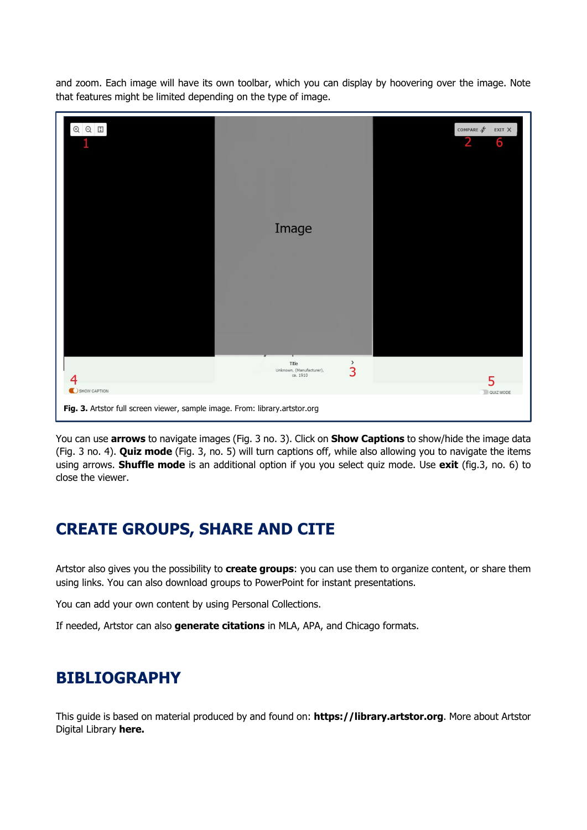and zoom. Each image will have its own toolbar, which you can display by hoovering over the image. Note that features might be limited depending on the type of image.



You can use **arrows** to navigate images (Fig. 3 no. 3). Click on **Show Captions** to show/hide the image data (Fig. 3 no. 4). **Quiz mode** (Fig. 3, no. 5) will turn captions off, while also allowing you to navigate the items using arrows. **Shuffle mode** is an additional option if you you select quiz mode. Use **exit** (fig.3, no. 6) to close the viewer.

## **CREATE GROUPS, SHARE AND CITE**

Artstor also gives you the possibility to **create groups**: you can use them to organize content, or share them using links. You can also download groups to PowerPoint for instant presentations.

You can add your own content by using Personal Collections.

If needed, Artstor can also **generate citations** in MLA, APA, and Chicago formats.

## **BIBLIOGRAPHY**

This guide is based on material produced by and found on: **[https://library.artstor.org](https://library.artstor.org./)**. More about Artstor Digital Library **[here.](artstor.libguides.com/?b=g&d=a)**